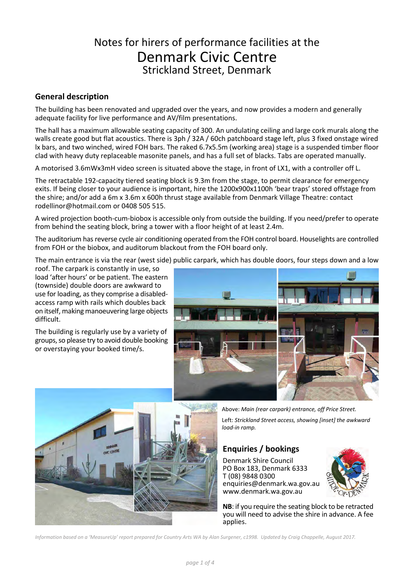## Notes for hirers of performance facilities at the Denmark Civic Centre Strickland Street, Denmark

## **General description**

The building has been renovated and upgraded over the years, and now provides a modern and generally adequate facility for live performance and AV/film presentations.

The hall has a maximum allowable seating capacity of 300. An undulating ceiling and large cork murals along the walls create good but flat acoustics. There is 3ph / 32A / 60ch patchboard stage left, plus 3 fixed onstage wired lx bars, and two winched, wired FOH bars. The raked 6.7x5.5m (working area) stage is a suspended timber floor clad with heavy duty replaceable masonite panels, and has a full set of blacks. Tabs are operated manually.

A motorised 3.6mWx3mH video screen is situated above the stage, in front of LX1, with a controller off L.

The retractable 192-capacity tiered seating block is 9.3m from the stage, to permit clearance for emergency exits. If being closer to your audience is important, hire the 1200x900x1100h 'bear traps' stored offstage from the shire; and/or add a 6m x 3.6m x 600h thrust stage available from Denmark Village Theatre: contact rodellinor@hotmail.com or 0408 505 515.

A wired projection booth-cum-biobox is accessible only from outside the building. If you need/prefer to operate from behind the seating block, bring a tower with a floor height of at least 2.4m.

The auditorium has reverse cycle air conditioning operated from the FOH control board. Houselights are controlled from FOH or the biobox, and auditorum blackout from the FOH board only.

The main entrance is via the rear (west side) public carpark, which has double doors, four steps down and a low

roof. The carpark is constantly in use, so load 'after hours' or be patient. The eastern (townside) double doors are awkward to use for loading, as they comprise a disabledaccess ramp with rails which doubles back on itself, making manoeuvering large objects difficult.

The building is regularly use by a variety of groups, so please try to avoid double booking or overstaying your booked time/s.





Above: *Main (rear carpark) entrance, off Price Street.* Left: *Strickland Street access, showing [inset] the awkward load-in ramp.*

## **Enquiries / bookings**

Denmark Shire Council PO Box 183, Denmark 6333 T (08) 9848 0300 enquiries@denmark.wa.gov.au www.denmark.wa.gov.au



**NB**: if you require the seating block to be retracted you will need to advise the shire in advance. A fee applies.

*Information based on a 'MeasureUp' report prepared for Country Arts WA by Alan Surgener, c1998. Updated by Craig Chappelle, August 2017.*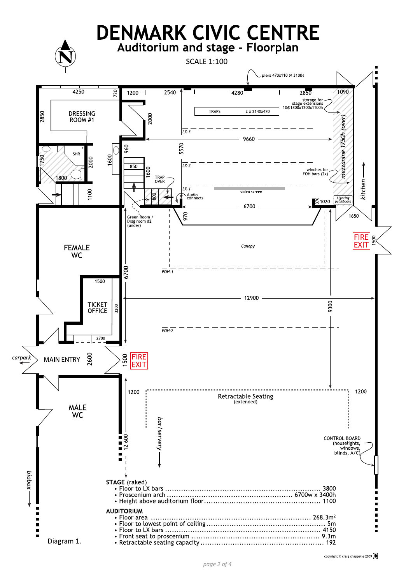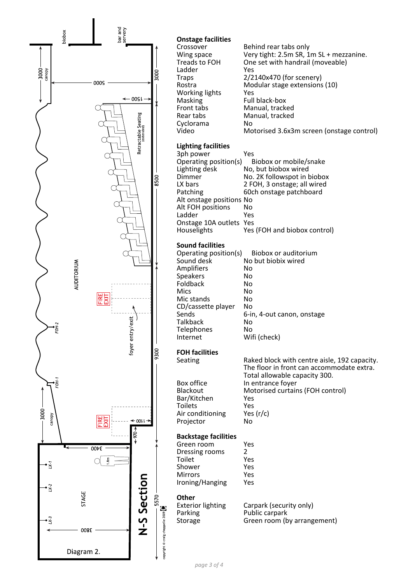

| Behind rear tabs only<br>Very tight: 2.5m SR, 1m SL + mezzanine.<br>One set with handrail (moveable)<br>Yes<br>2/2140x470 (for scenery)<br>Modular stage extensions (10)<br>Yes<br>Full black-box<br>Manual, tracked<br>Manual, tracked<br>No<br>Motorised 3.6x3m screen (onstage control) |
|--------------------------------------------------------------------------------------------------------------------------------------------------------------------------------------------------------------------------------------------------------------------------------------------|
| Yes<br>Operating position(s)<br>Biobox or mobile/snake<br>No, but biobox wired<br>No. 2K followspot in biobox<br>2 FOH, 3 onstage; all wired<br>60ch onstage patchboard<br>Alt onstage positions No<br>No<br>Yes<br>Onstage 10A outlets Yes<br>Yes (FOH and biobox control)                |
| Biobox or auditorium<br>Operating position(s)<br>No but biobix wired<br>No<br>No<br>No<br>No<br>No<br>No<br>6-in, 4-out canon, onstage<br>No<br>No<br>Wifi (check)                                                                                                                         |
| Raked block with centre aisle, 192 capacity.<br>The floor in front can accommodate extra.<br>Total allowable capacity 300.<br>In entrance foyer<br>Motorised curtains (FOH control)<br>Yes<br>Yes<br>Yes $(r/c)$<br>No                                                                     |
| Yes<br>2<br>Yes<br>Yes<br>Yes<br>Yes<br>Carpark (security only)<br>Public carpark<br>Green room (by arrangement)                                                                                                                                                                           |
|                                                                                                                                                                                                                                                                                            |